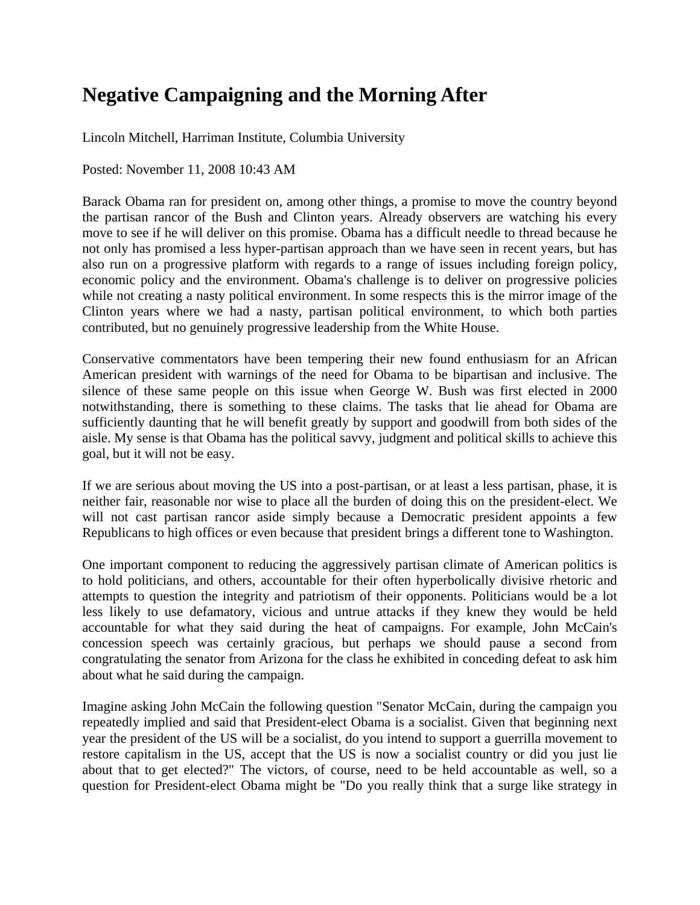## **Negative Campaigning and the Morning After**

Lincoln Mitchell, Harriman Institute, Columbia University

Posted: November 11, 2008 10:43 AM

Barack Obama ran for president on, among other things, a promise to move the country beyond the partisan rancor of the Bush and Clinton years. Already observers are watching his every move to see if he will deliver on this promise. Obama has a difficult needle to thread because he not only has promised a less hyper-partisan approach than we have seen in recent years, but has also run on a progressive platform with regards to a range of issues including foreign policy, economic policy and the environment. Obama's challenge is to deliver on progressive policies while not creating a nasty political environment. In some respects this is the mirror image of the Clinton years where we had a nasty, partisan political environment, to which both parties contributed, but no genuinely progressive leadership from the White House.

Conservative commentators have been tempering their new found enthusiasm for an African American president with warnings of the need for Obama to be bipartisan and inclusive. The silence of these same people on this issue when George W. Bush was first elected in 2000 notwithstanding, there is something to these claims. The tasks that lie ahead for Obama are sufficiently daunting that he will benefit greatly by support and goodwill from both sides of the aisle. My sense is that Obama has the political savvy, judgment and political skills to achieve this goal, but it will not be easy.

If we are serious about moving the US into a post-partisan, or at least a less partisan, phase, it is neither fair, reasonable nor wise to place all the burden of doing this on the president-elect. We will not cast partisan rancor aside simply because a Democratic president appoints a few Republicans to high offices or even because that president brings a different tone to Washington.

One important component to reducing the aggressively partisan climate of American politics is to hold politicians, and others, accountable for their often hyperbolically divisive rhetoric and attempts to question the integrity and patriotism of their opponents. Politicians would be a lot less likely to use defamatory, vicious and untrue attacks if they knew they would be held accountable for what they said during the heat of campaigns. For example, John McCain's concession speech was certainly gracious, but perhaps we should pause a second from congratulating the senator from Arizona for the class he exhibited in conceding defeat to ask him about what he said during the campaign.

Imagine asking John McCain the following question "Senator McCain, during the campaign you repeatedly implied and said that President-elect Obama is a socialist. Given that beginning next year the president of the US will be a socialist, do you intend to support a guerrilla movement to restore capitalism in the US, accept that the US is now a socialist country or did you just lie about that to get elected?" The victors, of course, need to be held accountable as well, so a question for President-elect Obama might be "Do you really think that a surge like strategy in